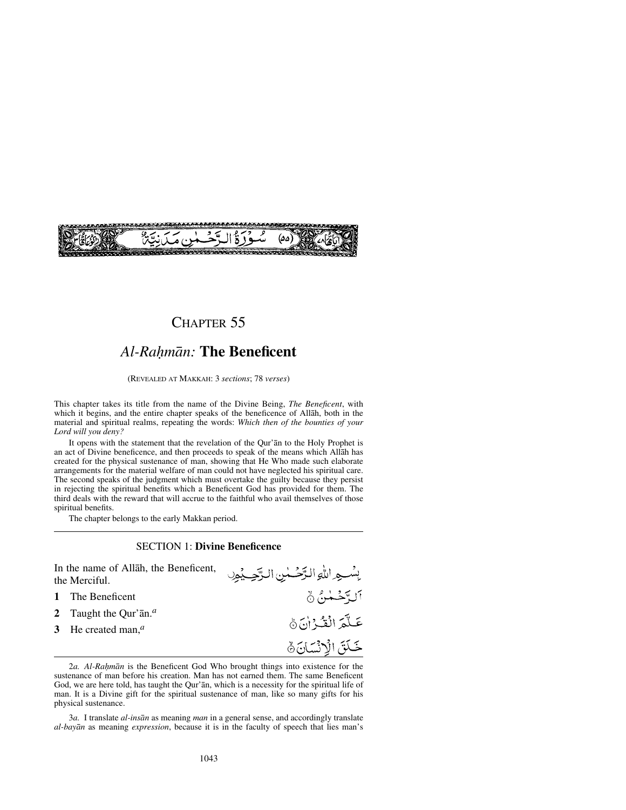

## CHAPTER 55

# *Al-Raƒmån:* **The Beneficent**

#### (REVEALED AT MAKKAH: 3 *sections*; 78 *verses*)

This chapter takes its title from the name of the Divine Being, *The Beneficent*, with which it begins, and the entire chapter speaks of the beneficence of Allåh, both in the material and spiritual realms, repeating the words: *Which then of the bounties of your Lord will you deny?*

It opens with the statement that the revelation of the Qur'ån to the Holy Prophet is an act of Divine beneficence, and then proceeds to speak of the means which Allåh has created for the physical sustenance of man, showing that He Who made such elaborate arrangements for the material welfare of man could not have neglected his spiritual care. The second speaks of the judgment which must overtake the guilty because they persist in rejecting the spiritual benefits which a Beneficent God has provided for them. The third deals with the reward that will accrue to the faithful who avail themselves of those spiritual benefits.

The chapter belongs to the early Makkan period.

#### SECTION 1: **Divine Beneficence**

In the name of Allåh, the Beneficent, the Merciful.

- **1** The Beneficent
- **2** Taught the Qur'ån.*<sup>a</sup>*
- **3** He created man,*<sup>a</sup>*

بِسْسِهِ اللَّهِ الرَّحْسٰنِ الرَّحِيْمِهِ التَّوْحُمْنُ ۞ عَلَّمَ الْقُرْاٰنَ ﴾ خَلَقَ الْإِنْسَانَ ﴾

2*a. Al-Rahmān* is the Beneficent God Who brought things into existence for the sustenance of man before his creation. Man has not earned them. The same Beneficent God, we are here told, has taught the Qur'ån, which is a necessity for the spiritual life of man. It is a Divine gift for the spiritual sustenance of man, like so many gifts for his physical sustenance.

3*a.* I translate *al-insån* as meaning *man* in a general sense, and accordingly translate *al-bayån* as meaning *expression*, because it is in the faculty of speech that lies man's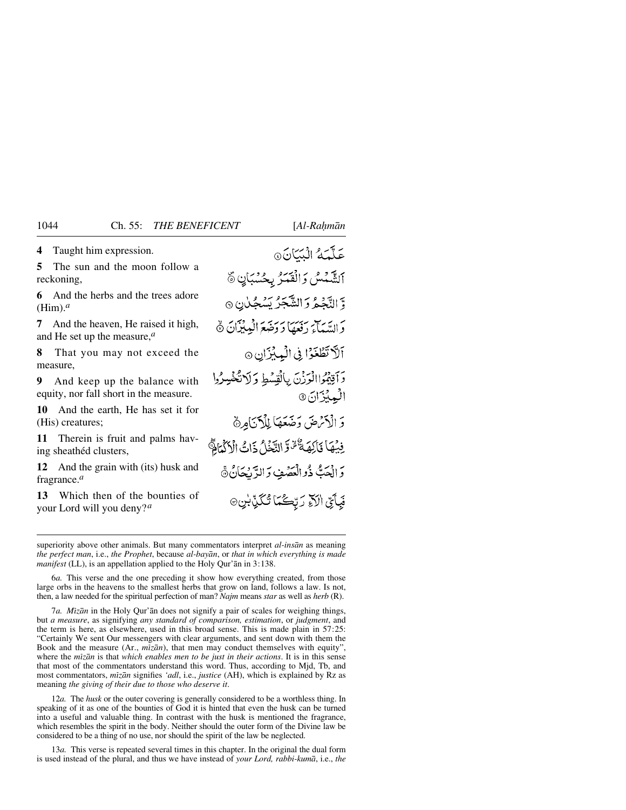**4** Taught him expression.

**5** The sun and the moon follow a reckoning,

**6** And the herbs and the trees adore (Him).*<sup>a</sup>*

**7** And the heaven, He raised it high, and He set up the measure,*<sup>a</sup>*

**8** That you may not exceed the measure,

**9** And keep up the balance with equity, nor fall short in the measure.

**10** And the earth, He has set it for (His) creatures;

**11** Therein is fruit and palms having sheathéd clusters,

**12** And the grain with (its) husk and fragrance.*<sup>a</sup>*

**13** Which then of the bounties of your Lord will you deny?*<sup>a</sup>*

عَلَّمَهُ الْبَيَانَ @ اَلشَّبْسُ وَالْقَبَّرُ بِحُسْبَانِ ﴾ وَّ النَّجْعُ وَ الشَّجْرُ يُسْجِّلْنِ ۞ وَ السَّيَائِيَ رَفَعَهَا دَ دَخَبَعَ الْبِهِيْزَانَ ۞ اَلاَ تَطْغَوْا فِي الْبِيْزَانِ ۞ دَاقِيْمُوْاالْوَزْنَ بِالْقِسْطِ دَلَاتُكْفُيِيرُوا البميزان (9 وَ الْآَرُضَ وَضَعَهَا لِلْآَنَامِنَ فِيْهَا فَأَلِهَةٌ لَهُ وَالتَّخَلُ ذَاتُ الْأَكْمَامِ وَالْعَبُّ ذُوالْعَصَٰفِ وَالدَّيْجَانُ ۞ فَبِأَيِّ الَآءِ رَبِّكُمَا تُكَنِّبْنِ۞

superiority above other animals. But many commentators interpret *al-insån* as meaning *the perfect man*, i.e., *the Prophet*, because *al-bayån*, or *that in which everything is made manifest* (LL), is an appellation applied to the Holy Qur'ån in 3:138.

6*a.* This verse and the one preceding it show how everything created, from those large orbs in the heavens to the smallest herbs that grow on land, follows a law. Is not, then, a law needed for the spiritual perfection of man? *Najm* means *star* as well as *herb* (R).

7*a. Mßzån* in the Holy Qur'ån does not signify a pair of scales for weighing things, but *a measure*, as signifying *any standard of comparison, estimation*, or *judgment*, and the term is here, as elsewhere, used in this broad sense. This is made plain in 57:25: "Certainly We sent Our messengers with clear arguments, and sent down with them the Book and the measure (Ar.,  $m\bar{z}\bar{a}n$ ), that men may conduct themselves with equity", where the *mßzån* is that *which enables men to be just in their actions*. It is in this sense that most of the commentators understand this word. Thus, according to Mjd, Tb, and most commentators, *mßzån* signifies *'adl*, i.e., *justice* (AH), which is explained by Rz as meaning *the giving of their due to those who deserve it*.

12*a.* The *husk* or the outer covering is generally considered to be a worthless thing. In speaking of it as one of the bounties of God it is hinted that even the husk can be turned into a useful and valuable thing. In contrast with the husk is mentioned the fragrance, which resembles the spirit in the body. Neither should the outer form of the Divine law be considered to be a thing of no use, nor should the spirit of the law be neglected.

13*a.* This verse is repeated several times in this chapter. In the original the dual form is used instead of the plural, and thus we have instead of *your Lord, rabbi-kumå*, i.e., *the*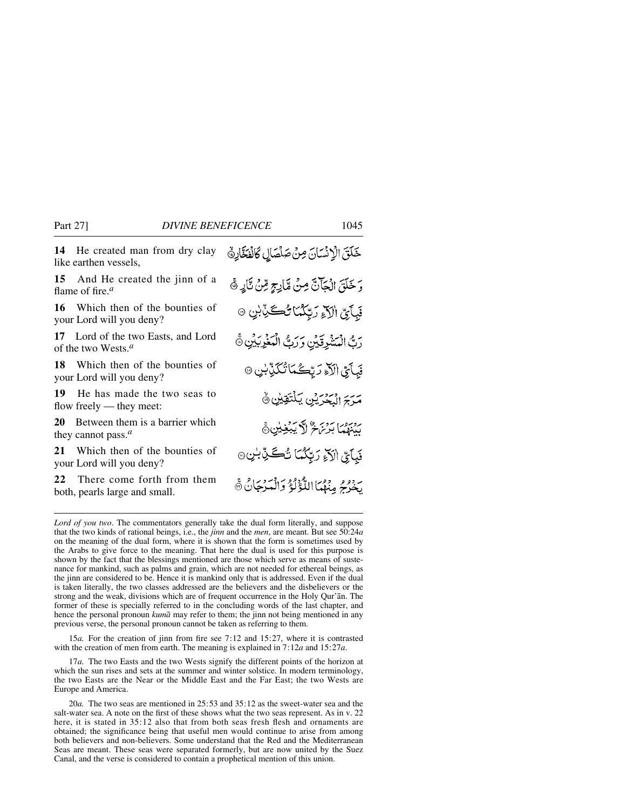**14** He created man from dry clay like earthen vessels,

**15** And He created the jinn of a flame of fire.*<sup>a</sup>*

**16** Which then of the bounties of your Lord will you deny?

**17** Lord of the two Easts, and Lord of the two Wests.*<sup>a</sup>*

**18** Which then of the bounties of your Lord will you deny?

**19** He has made the two seas to flow freely — they meet:

**20** Between them is a barrier which they cannot pass.*<sup>a</sup>*

**21** Which then of the bounties of your Lord will you deny?

**22** There come forth from them both, pearls large and small.

خَلَقَ الْإِنْسَانَ مِنْ صَلْصَالِ كَالْفَخَّارِةُ وَ خَلَقَ الْجَآنَّ مِنْ مَّارِجٍ مِّنْ نَّارٍ ﴾ فَبَأَيِّ الْأَءِ رَبِّكُمَا تُڪَنِّبْنِ ۞ ربُّ الْمَشْرِقَيْنِ وَرَبُّ الْمَغْرِبَيْنِ ﴾ **فَبِأَبِّيِّ الْآءِ رَبِّكُمَا تُكَذِّبْنِ** ۞ مَرَجَ الْبَحْرَيْنِ يَلْتَقِيْنِ ﴾ روبروس بروبر ويوليس بين المجموع المستقيد فَبِأَيِّ الَآءِ رَبِّكُمَا نُڪَنِّ بُنِ ۞ به وو و وورا اللَّجُولَةُ وَالْمَدْجَانُ ۞<br>يخوجُ مِنْهُمَا اللَّجُولَةُ وَالْمَدْجَانُ ۞

*Lord of you two*. The commentators generally take the dual form literally, and suppose that the two kinds of rational beings, i.e., the *jinn* and the *men*, are meant. But see 50:24*a* on the meaning of the dual form, where it is shown that the form is sometimes used by the Arabs to give force to the meaning. That here the dual is used for this purpose is shown by the fact that the blessings mentioned are those which serve as means of sustenance for mankind, such as palms and grain, which are not needed for ethereal beings, as the jinn are considered to be. Hence it is mankind only that is addressed. Even if the dual is taken literally, the two classes addressed are the believers and the disbelievers or the strong and the weak, divisions which are of frequent occurrence in the Holy Qur'ån. The former of these is specially referred to in the concluding words of the last chapter, and hence the personal pronoun *kumå* may refer to them; the jinn not being mentioned in any previous verse, the personal pronoun cannot be taken as referring to them.

15*a.* For the creation of jinn from fire see 7:12 and 15:27, where it is contrasted with the creation of men from earth. The meaning is explained in 7:12*a* and 15:27*a*.

17*a.* The two Easts and the two Wests signify the different points of the horizon at which the sun rises and sets at the summer and winter solstice. In modern terminology, the two Easts are the Near or the Middle East and the Far East; the two Wests are Europe and America.

20*a.* The two seas are mentioned in 25:53 and 35:12 as the sweet-water sea and the salt-water sea. A note on the first of these shows what the two seas represent. As in v. 22 here, it is stated in  $35:12$  also that from both seas fresh flesh and ornaments are obtained; the significance being that useful men would continue to arise from among both believers and non-believers. Some understand that the Red and the Mediterranean Seas are meant. These seas were separated formerly, but are now united by the Suez Canal, and the verse is considered to contain a prophetical mention of this union.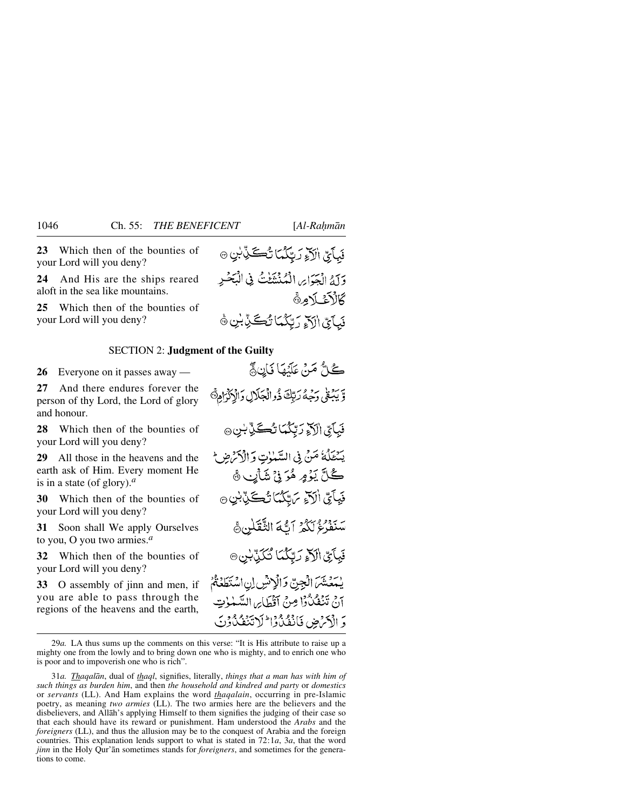**23** Which then of the bounties of your Lord will you deny?

**24** And His are the ships reared aloft in the sea like mountains.

**25** Which then of the bounties of your Lord will you deny?

#### SECTION 2: **Judgment of the Guilty**

**26** Everyone on it passes away —

**27** And there endures forever the person of thy Lord, the Lord of glory and honour.

**28** Which then of the bounties of your Lord will you deny?

**29** All those in the heavens and the earth ask of Him. Every moment He is in a state (of glory).*<sup>a</sup>*

**30** Which then of the bounties of your Lord will you deny?

**31** Soon shall We apply Ourselves to you, O you two armies.*<sup>a</sup>*

**32** Which then of the bounties of your Lord will you deny?

**33** O assembly of jinn and men, if you are able to pass through the regions of the heavens and the earth,

فَبِأَيِّ الْأَخِ رَبِّكُمَا تُكَكِّبُّ بِنِ ۞ وَآمُ الْجَوَاحِ الْمُنْشَفِّتُ فِي الْبَحْيِ كَالْأَغْبَلَامِنَّ فَيآَيِّ الْآهِ دَ تَكْمَا تُڪَبِّأَبْنِ ۞

كُلُّ مَنْ عَلَيْهَا فَإِنٍ مَّ وَّ يَبۡعۡىٰ دَحۡهُمۡ رَبِّكَ ذُوالۡجَلَالِ دَالۡرَٰدۡٓاٰهِ۞ فَبَأَيِّ الْآَءِ رَبَّكُمَا تُڪَنِّ بُنِ ۞ يَسْتَلُّهُ مَنْ فِي السَّيْنِاتِ وَالْأَكْرَضِ ﴾ ڴڷۜٙێؘۯؚۄؚۿڒؽ۬ڽٛۺؘٲۑڹۿ فَيِأَيِّ اٰلَآءِ بِرَايِّكُمَا نُڪَنِّ بِٰنِ ۞ سْنَفْرُغُ لَكُمْ أَتَّهَ الثَّقَلِنِ هِي فَبِأَيِّ الْآَءِ رَبِّكُمَا تُكَذِّبُنِ ۞ يْمَعْشَمَ الْجِنِّ وَالْإِنْشِ إِنِ اسْتَطَعْتُمُ أَنْ تَنْفَكْنُوْا مِنْ أَقْطَابِرِ السَّعْوٰتِ وَ الْأَمْرَضِ فَأَنْفَدُوْا لَا تَنْفُدُوْنَ

<sup>29</sup>*a.* LA thus sums up the comments on this verse: "It is His attribute to raise up a mighty one from the lowly and to bring down one who is mighty, and to enrich one who is poor and to impoverish one who is rich".

<sup>31</sup>*a. Thaqalån*, dual of *thaql*, signifies, literally, *things that a man has with him of such things as burden him*, and then *the household and kindred and party* or *domestics* or *servants* (LL). And Ham explains the word *thaqalain*, occurring in pre-Islamic poetry, as meaning *two armies* (LL). The two armies here are the believers and the disbelievers, and Allåh's applying Himself to them signifies the judging of their case so that each should have its reward or punishment. Ham understood the *Arabs* and the *foreigners* (LL), and thus the allusion may be to the conquest of Arabia and the foreign countries. This explanation lends support to what is stated in 72:1*a*, 3*a*, that the word *jinn* in the Holy Qur'ån sometimes stands for *foreigners*, and sometimes for the generations to come.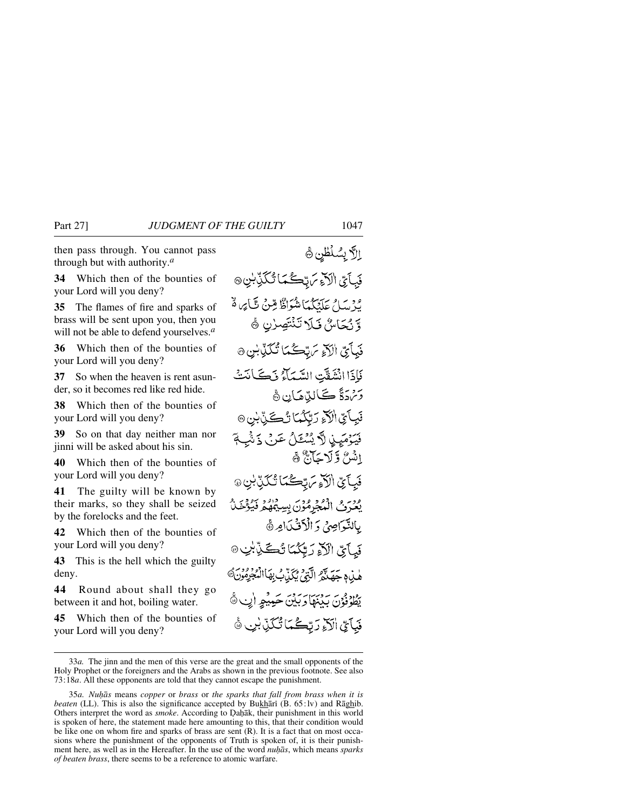then pass through. You cannot pass through but with authority.*<sup>a</sup>*

**34** Which then of the bounties of your Lord will you deny?

**35** The flames of fire and sparks of brass will be sent upon you, then you will not be able to defend yourselves.*<sup>a</sup>*

**36** Which then of the bounties of your Lord will you deny?

**37** So when the heaven is rent asunder, so it becomes red like red hide.

**38** Which then of the bounties of your Lord will you deny?

**39** So on that day neither man nor jinni will be asked about his sin.

**40** Which then of the bounties of your Lord will you deny?

**41** The guilty will be known by their marks, so they shall be seized by the forelocks and the feet.

**42** Which then of the bounties of your Lord will you deny?

**43** This is the hell which the guilty deny.

**44** Round about shall they go between it and hot, boiling water.

**45** Which then of the bounties of your Lord will you deny?

الاَّ بِسُلْطُن ۞ فَبِأَيِّ الْآَءِ سَ تِكْمَا تُكَذِّبُنِ۞ لْمِرْ سَامٍ عَلَيْكُمْاً شُوَاظٌ مِّنْ تَبَايِهِ وَّ وَّ نُكَاسُ فَلَا تَنْتَصِرْنِ ﴾ فَيَأْبِيّ اٰلَآءِ سَتِّڪُمَا ٽُگڏِّٺِنِ۞ فَإِذَا انْشَفَّتِ السَّيِّمَاتِي ذَكَّے كَنَتْ وَتَهَدَّةً ڪَالِدِّهَانِ ۞ فَيِبَائِيِّ الْآءِ رَبِّكُمَا نُڪِيِّ بِ<sup>ن</sup>ِ ۞ فَيَهْمَيِّدِنِ لَّهَ يُسْتَحَلُّ عَرَبٌ ذَنَّهُ اِنْسُ وَلَا حَآيَّ ﴾ فَيَأَيِّ الْأَوْتَرَبِّكُمَا تُكَذِّبُنِ۞ يُعْرَفُ الْمُجْرِمُوْنَ بِسِيْهِهُمْ فَيُؤْخَ بِالنَّوَاصِيُّ وَ الْأَفْيَدَامِرُ ﴾ فَيآتِي الْآءِ رَبِّكُمَا تُكَيِّبْنِ @ هٰذِهِ حَصَلَهُمُ الَّذِمِ مُكَنَّدُبُ بِهَاالْمُجْرِمُو يَطُوْفُوْنَ بَدْنَهَا دَبَيْنَ حَمِيْهِ إِنِ ۞ فَيَأْتِي الْآءِ رَبِّكُمَا تُكَذِّبْنِ

<sup>33</sup>*a.* The jinn and the men of this verse are the great and the small opponents of the Holy Prophet or the foreigners and the Arabs as shown in the previous footnote. See also 73:18*a*. All these opponents are told that they cannot escape the punishment.

<sup>35</sup>*a. Nuhās* means *copper* or *brass* or *the sparks that fall from brass when it is beaten* (LL). This is also the significance accepted by Bukhārī (B. 65:lv) and Rāghib. Others interpret the word as *smoke*. According to Dahāk, their punishment in this world is spoken of here, the statement made here amounting to this, that their condition would be like one on whom fire and sparks of brass are sent (R). It is a fact that on most occasions where the punishment of the opponents of Truth is spoken of, it is their punishment here, as well as in the Hereafter. In the use of the word *nuhas*, which means *sparks of beaten brass*, there seems to be a reference to atomic warfare.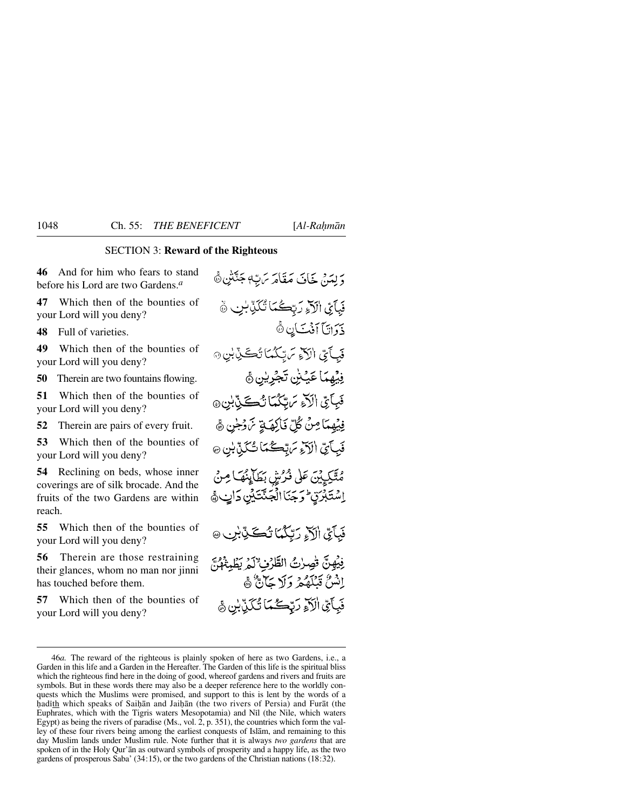### SECTION 3: **Reward of the Righteous**

**46** And for him who fears to stand before his Lord are two Gardens.*<sup>a</sup>*

**47** Which then of the bounties of your Lord will you deny?

**48** Full of varieties.

**49** Which then of the bounties of your Lord will you deny?

**50** Therein are two fountains flowing.

**51** Which then of the bounties of your Lord will you deny?

**52** Therein are pairs of every fruit.

**53** Which then of the bounties of your Lord will you deny?

**54** Reclining on beds, whose inner coverings are of silk brocade. And the fruits of the two Gardens are within reach.

**55** Which then of the bounties of your Lord will you deny?

**56** Therein are those restraining their glances, whom no man nor jinni has touched before them.

**57** Which then of the bounties of your Lord will you deny?

دَ لِهَنْ خَافَ مَقَامَهَ بِّنَ بِهِ جَنَّتْينِ ﴾ فَبِآَيِّ الْآءِ رَبِّكُمَا تُكَرِّبْنِ ۞ ذَوَاتَاً أَفْتَ كَانٍ ثَّ فَيَأَيِّ الْآءِ سَتِكْمَا تُكَيِّبْنِ۞ فِيْهِمَا عَيْشٍ تَجْرِيْنِ ﴾ فَبِآَيِّ الَّذِ مَ بِّكُمَا تُكَيِّبُونَ @ فِيْهِمَا مِنْ كُلِّ فَأَلِهَةٍ تَرَرُجُن ﴾ فَبِأَيِّ الَآءِ مَ تِحكُمَا تُكَنِّ بِنِ ۞ مِتَّكِيِّينَ عَلَى ذُرُّشٍ بَطَأَيِّنُهَا مِنْ اِسْتَبْرَقٍ وَجَنَا الْجَنَّتَيْنِ دَاتٍ، فَبِأَيِّ الْآءِ رَبِّكُمَا تُكَيِّبْنِ ۞ فِيُهِنَّ تُصِرْتُ الطَّرْفِ ْلَمْرِيَظِيَّةُ إِنَّ إِنْسُنُ قَبْلَهُمْ وَلَا حَالَّةٌ هَ فَبِآَيِّ الْآءِ رَبِّكُمَا تُكَنِّبُنِ ﴾

<sup>46</sup>*a.* The reward of the righteous is plainly spoken of here as two Gardens, i.e., a Garden in this life and a Garden in the Hereafter. The Garden of this life is the spiritual bliss which the righteous find here in the doing of good, whereof gardens and rivers and fruits are symbols. But in these words there may also be a deeper reference here to the worldly conquests which the Muslims were promised, and support to this is lent by the words of a hadith which speaks of Saihān and Jaihān (the two rivers of Persia) and Furãt (the Euphrates, which with the Tigris waters Mesopotamia) and Nßl (the Nile, which waters Egypt) as being the rivers of paradise (Ms., vol. 2, p. 351), the countries which form the valley of these four rivers being among the earliest conquests of Islåm, and remaining to this day Muslim lands under Muslim rule. Note further that it is always *two gardens* that are spoken of in the Holy Qur'ån as outward symbols of prosperity and a happy life, as the two gardens of prosperous Saba' (34:15), or the two gardens of the Christian nations (18:32).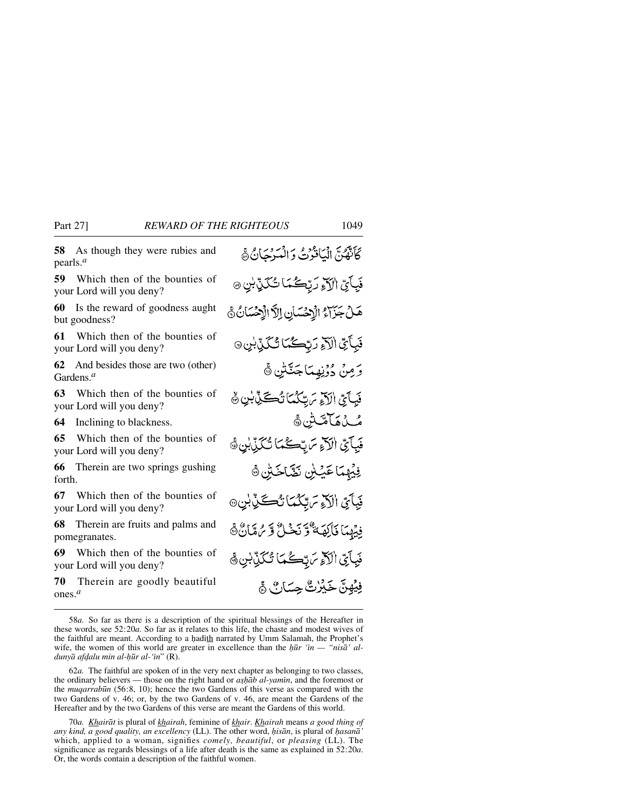**58** As though they were rubies and pearls.*<sup>a</sup>*

**59** Which then of the bounties of your Lord will you deny?

**60** Is the reward of goodness aught but goodness?

**61** Which then of the bounties of your Lord will you deny?

**62** And besides those are two (other) Gardens.*<sup>a</sup>*

**63** Which then of the bounties of your Lord will you deny?

**64** Inclining to blackness.

**65** Which then of the bounties of your Lord will you deny?

**66** Therein are two springs gushing forth.

**67** Which then of the bounties of your Lord will you deny?

**68** Therein are fruits and palms and pomegranates.

**69** Which then of the bounties of your Lord will you deny?

**70** Therein are goodly beautiful ones.*<sup>a</sup>*

كَأَنَّفَكُنَّ إِنَّيَافُوْثَ وَالْمُدْجَانُ هُ فَبِأَيِّ الْآءِ رَبِّكُمَا تُكَنِّ بِنِ ۞ هَلْ جَزَاءُ الْإِحْسَانِ إِلاَّ الْإِحْسَانُ ﴾ فَبَأَيِّ الْآءِ رَبِّكُمَا تُكَبِّ بِنِ ۞ وَمِنْ دُوْنِهِمَاجَنَّتْنِ ۞ فَبِأَيِّ الْآءِ تَرَبِّكُمَا تُكَكِّرْ بِٰنِ ۞ مُ بِنَ مَامِّتْشِنَ پَّ فَبِآَىِّ الْآءِ سَ تَكْبَأَ تُكَذَّبُنَّ ﴾ فِيْهِمَا عَيْسٍٰ نَصَّاحَتِن ﴾ فَبَأَيِّ الْآءِ سَبِّكْمَا نُڪِّنِّ بِٰنِ۞ فِيَهِمَا فَأَكِهَةٌ وَّ نَحْبُلٌّ وَ مِرَةَبَانٌ ﴾ فَبِأَيِّ الْأَوْ يَرَبَّكُمَا تَكَذَّبُنِ ۞ فِيُهِنَّ خَيْرُتَّ حِسَانٌ ﴾

62*a.* The faithful are spoken of in the very next chapter as belonging to two classes, the ordinary believers — those on the right hand or *ashab al-yamin*, and the foremost or the *muqarrabūn* (56:8, 10); hence the two Gardens of this verse as compared with the two Gardens of v. 46; or, by the two Gardens of v. 46, are meant the Gardens of the Hereafter and by the two Gardens of this verse are meant the Gardens of this world.

70*a. Khairåt* is plural of *khairah*, feminine of *khair*. *Khairah* means *a good thing of any kind, a good quality, an excellency* (LL). The other word, *hisān*, is plural of *hasan*ā' which, applied to a woman, signifies *comely, beautiful*, or *pleasing* (LL). The significance as regards blessings of a life after death is the same as explained in 52:20*a*. Or, the words contain a description of the faithful women.

<sup>58</sup>*a.* So far as there is a description of the spiritual blessings of the Hereafter in these words, see 52:20*a*. So far as it relates to this life, the chaste and modest wives of the faithful are meant. According to a hadith narrated by Umm Salamah, the Prophet's wife, the women of this world are greater in excellence than the *hūr 'in — "nisā' aldunyā afdalu min al-hūr al-'in*" (R).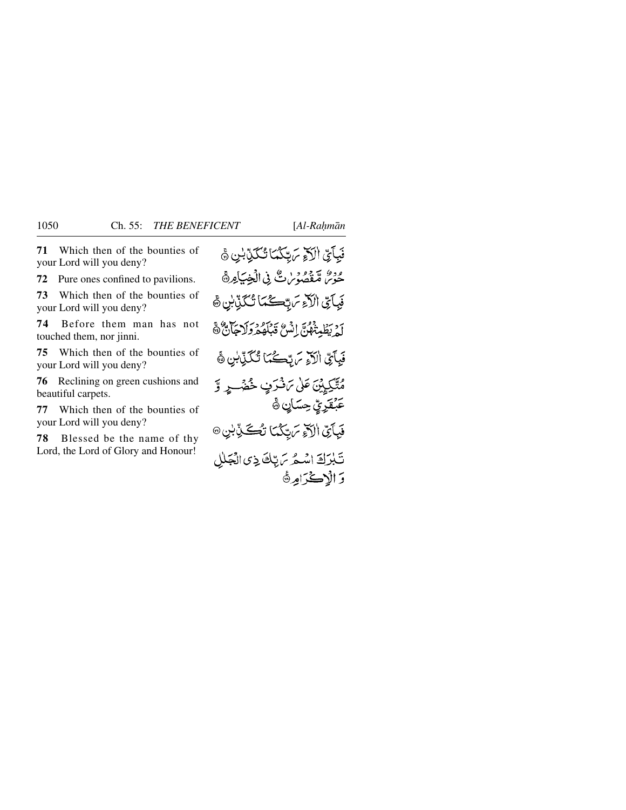**71** Which then of the bounties of your Lord will you deny?

**72** Pure ones confined to pavilions.

**73** Which then of the bounties of your Lord will you deny?

**74** Before them man has not touched them, nor jinni.

**75** Which then of the bounties of your Lord will you deny?

**76** Reclining on green cushions and beautiful carpets.

**77** Which then of the bounties of your Lord will you deny?

**78** Blessed be the name of thy Lord, the Lord of Glory and Honour!

فَبِآَيِّ الْآءِ مَرِّكِكُمَا تُكَذِّبُنِ ﴾ حُوْسٌ مُّقْصُوَيْنَ فِي الْخِيَامِ فَبِآَيِّ الْآءِ مَ بِّكْمَا تُكَنِّبُنِ ﴾ لَمْ يَظْهَنُّهُنَّ إِنَّسْ قَبْلَهُمْ وَلَاجَأَنَّ ﴾ فَبِآيِّ الْآءِ يَ تِكْمَا تُكَوِّبُنِ ﴾ مُتَّكِيِينَ عَلَىٰ تَأْثَرَفٍ خُضُورٍ وَّ عَبْقَرِيِّ حِسَانٍ ۞ فَيَأَىِّ الْآَءِ مَرِّبِكُمَا تُكَذِّبِيْ۞ تَبْرَكَ اسْتُرَسَ بِّكَ ذِي الْجَلْلِ وَ الْاِكْرَامِرَةَ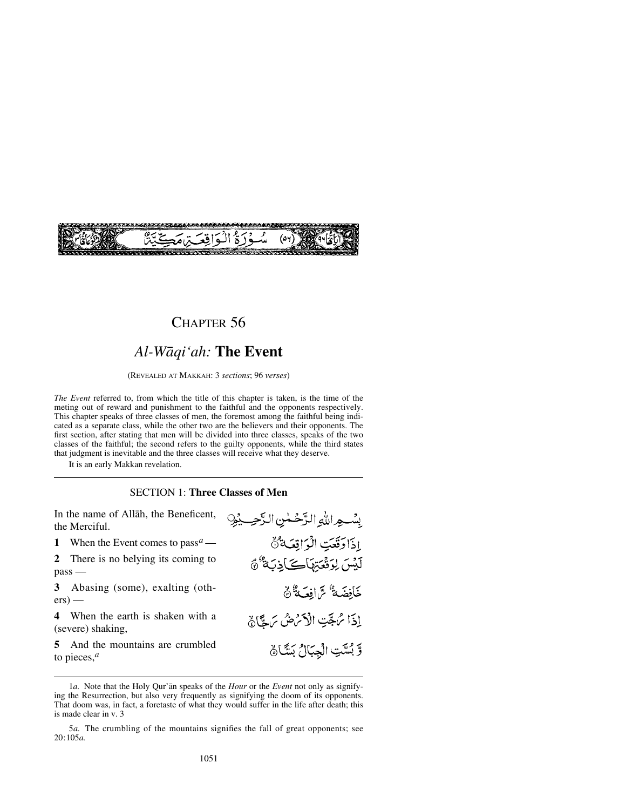

## CHAPTER 56

# *Al-Wåqi'ah:* **The Event**

(REVEALED AT MAKKAH: 3 *sections*; 96 *verses*)

*The Event* referred to, from which the title of this chapter is taken, is the time of the meting out of reward and punishment to the faithful and the opponents respectively. This chapter speaks of three classes of men, the foremost among the faithful being indicated as a separate class, while the other two are the believers and their opponents. The first section, after stating that men will be divided into three classes, speaks of the two classes of the faithful; the second refers to the guilty opponents, while the third states that judgment is inevitable and the three classes will receive what they deserve.

It is an early Makkan revelation.

#### SECTION 1: **Three Classes of Men**

In the name of Allåh, the Beneficent, the Merciful.

**1** When the Event comes to pass*a* —

**2** There is no belying its coming to pass —

**3** Abasing (some), exalting (oth $ers)$  —

**4** When the earth is shaken with a (severe) shaking,

**5** And the mountains are crumbled to pieces,*<sup>a</sup>*

بِسُواللهِ الزَّحْلٰنِ الزَّحِيْهِ إذاوَقتتِ الْزَاقِعَةُ لَيْسَ لِوَقْعَتِهَاكَ الْذِبَةُ ﴾ خَافِضَةٌ سَّ افِعَةٌ مَّ إذا مُ جَّتِ الْأَمْشُ مَ جَّارَة وَّ بُسَّتِ الْجِبَالُ بَسَّاهُ

<sup>1</sup>*a.* Note that the Holy Qur'ån speaks of the *Hour* or the *Event* not only as signifying the Resurrection, but also very frequently as signifying the doom of its opponents. That doom was, in fact, a foretaste of what they would suffer in the life after death; this is made clear in v. 3

<sup>5</sup>*a.* The crumbling of the mountains signifies the fall of great opponents; see 20:105*a.*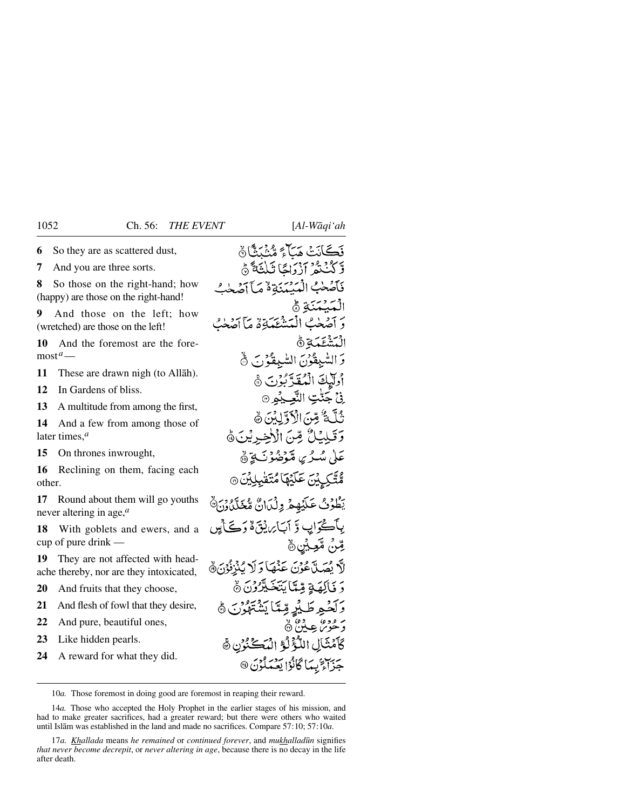**6** So they are as scattered dust,

**7** And you are three sorts.

**8** So those on the right-hand; how (happy) are those on the right-hand!

**9** And those on the left; how (wretched) are those on the left!

**10** And the foremost are the foremost*a*—

**11** These are drawn nigh (to Allåh).

**12** In Gardens of bliss.

**13** A multitude from among the first,

**14** And a few from among those of later times,*<sup>a</sup>*

**15** On thrones inwrought,

**16** Reclining on them, facing each other.

**17** Round about them will go youths never altering in age,*<sup>a</sup>*

**18** With goblets and ewers, and a cup of pure drink —

**19** They are not affected with headache thereby, nor are they intoxicated,

**20** And fruits that they choose,

**21** And flesh of fowl that they desire,

**22** And pure, beautiful ones,

**23** Like hidden pearls.

**24** A reward for what they did.

نَكَانَتْ مَبَأَءً مُّنْنَدًّا ﴾ وَكَنْنَتُمْ آزْدَاجًا ثَلْثَةً ۞ فآصْحٰبُ الْمَسْبَنَةِ هُ مَبَآ آصَحٰتُ الْمَسْكَنَة ۞ بر احده المُتَشَعَّدَةِ لَهُ اَجْتَنَهُ مِنْ الْمَشْغَمَةِ ﴾ وَ السُّبِقُوْنَ السُّبِقَهُوْنَ ۞ وللكَ الْمُقَدَّكُونَ هَ .فيُ حَتَّٰتِ النَّعِبِدُ ® ثُلَّكَ تَسْنَ الْأَوَّلِيْنَ رَهَ وَقَيْلِيُكُ مِّنَ الْأَخِرِيْنَ ﴾ عَلَىٰ مُسْرُبِي مُتَوَضَّوْنَ يَوَنَّهُ مُتَّكِيِينَ عَلَيْهَا مُتَقْبِر يَطُوُبُ عَلَيۡهِمۡ وِلۡدَانٌ مُّعَلَّدُونَ ﴾ بِٱڪۡوَابِ وَّ أَسَامِ يُقَ هُ دَڪَ لِين ڦِنٌ ڦُڃِيُنِ۞ لَّا يُصَدَّعُونَ عَنْهَا وَلَا يُنْزِئُونَ ﴾ دَ فَأَلِمَةٍ مِّتَأَيَّتَخَيْرُوْنَ ۞ وَلَحْمِهِ طَيْرِ مِّعَاً يَشْتَهْدُنَ ﴾ د قوماً چينج پ كَأَمْثَالِ اللَّوْلُوَّ الْمَكَنْزُنِ ﴾ جَزَاءَ بِيَا كَانُوْا يَعْيَدَ فَوْنَ @

10*a.* Those foremost in doing good are foremost in reaping their reward.

14*a.* Those who accepted the Holy Prophet in the earlier stages of his mission, and had to make greater sacrifices, had a greater reward; but there were others who waited until Islåm was established in the land and made no sacrifices. Compare 57:10; 57:10*a*.

17*a. Khallada* means *he remained* or *continued forever*, and *mukhalladūn* signifies *that never become decrepit*, or *never altering in age*, because there is no decay in the life after death.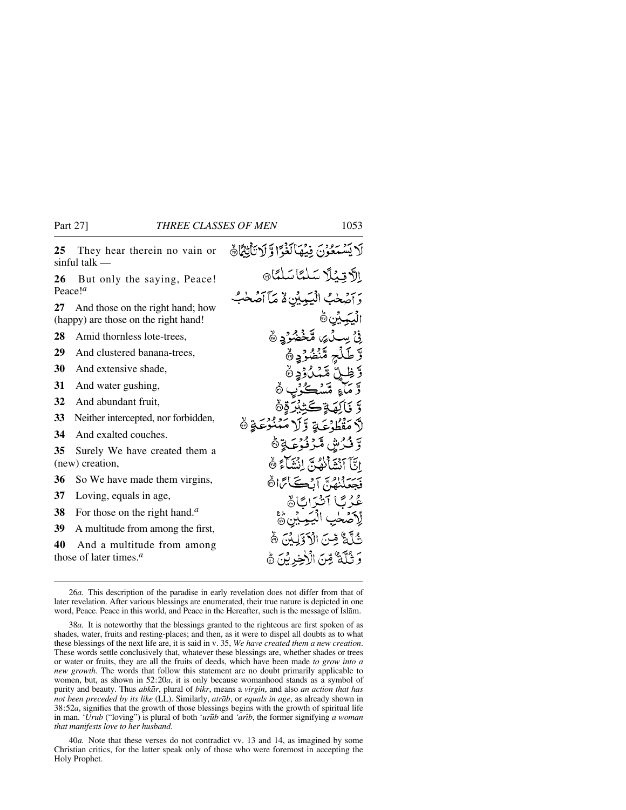لَا يَسْتَعُوْنَ فِيْهَالَغْوَّا وَّ لَاتَأْتِهََاهُ **25** They hear therein no vain or sinful talk — الأقِيْلًا سَلْمًا سَلْمًا 9 **26** But only the saying, Peace! Peace!*<sup>a</sup>* وَ آصْحٰبُ الْبَيْهِ بِيْنِ لَهُ مَآ آصۡحٰبُ **27** And those on the right hand; how ﯩઐ، ۞ (happy) are those on the right hand! ر<br>ٺي **مَنْ خُضُوُدٍ** @ **28** Amid thornless lote-trees, لۡتِہٖ مَّنۡضُوۡۖ وَ ۞ْ **29** And clustered banana-trees, **30** And extensive shade, ا" قسمبد<br>أيا قسمبد **31** And water gushing, **32** And abundant fruit, **33** Neither intercepted, nor forbidden, وورى<br>منوعةٍ ڭ برور دي.<br>مقط**ي** ع **34** And exalted couches. ల్ ష **35** Surely We have created them a de l'El 1999 (new) creation, **36** So We have made them virgins, بِهِ بِهِ إِدْنِ يَبْنِ إِنَّ كَمَاتًا ثَمَّ **37** Loving, equals in age, **38** For those on the right hand.*<sup>a</sup>* **39** A multitude from among the first, يُّ آَءٌ مِّنَ الْأَوَّلِكُنَّ ۞ **40** And a multitude from among وَ ثُلَّهُ ۚ مِّنَ الْأَخِرِينَ ﴾ those of later times.*<sup>a</sup>*

<sup>26</sup>*a.* This description of the paradise in early revelation does not differ from that of later revelation. After various blessings are enumerated, their true nature is depicted in one word, Peace. Peace in this world, and Peace in the Hereafter, such is the message of Islåm.

<sup>38</sup>*a.* It is noteworthy that the blessings granted to the righteous are first spoken of as shades, water, fruits and resting-places; and then, as it were to dispel all doubts as to what these blessings of the next life are, it is said in v. 35, *We have created them a new creation*. These words settle conclusively that, whatever these blessings are, whether shades or trees or water or fruits, they are all the fruits of deeds, which have been made *to grow into a new growth*. The words that follow this statement are no doubt primarily applicable to women, but, as shown in 52:20*a*, it is only because womanhood stands as a symbol of purity and beauty. Thus *abkår*, plural of *bikr*, means a *virgin*, and also *an action that has not been preceded by its like* (LL). Similarly, *atråb*, or *equals in age*, as already shown in 38:52*a*, signifies that the growth of those blessings begins with the growth of spiritual life in man. '*Urub* ("loving") is plural of both '*ur∂b* and *'arßb*, the former signifying *a woman that manifests love to her husband*.

<sup>40</sup>*a.* Note that these verses do not contradict vv. 13 and 14, as imagined by some Christian critics, for the latter speak only of those who were foremost in accepting the Holy Prophet.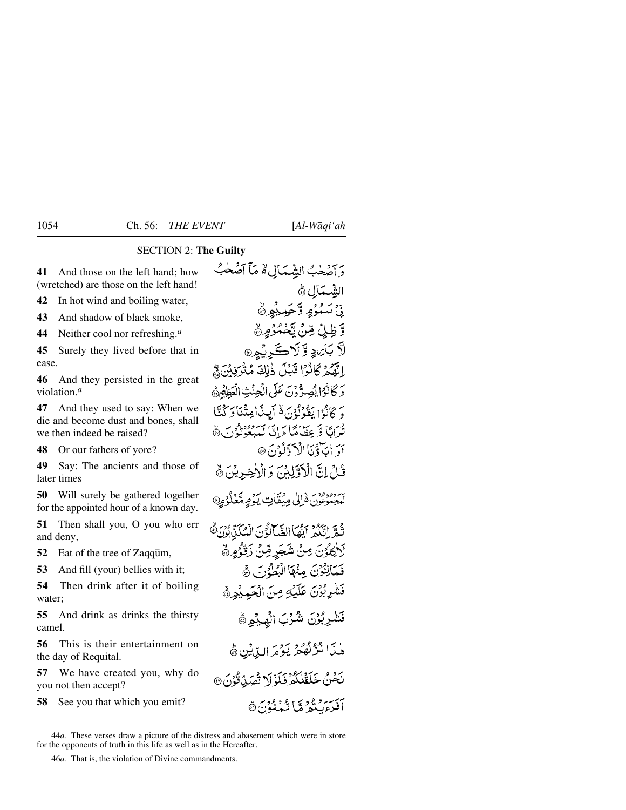### SECTION 2: **The Guilty**

**41** And those on the left hand; how (wretched) are those on the left hand!

**42** In hot wind and boiling water,

**43** And shadow of black smoke,

**44** Neither cool nor refreshing.*<sup>a</sup>*

**45** Surely they lived before that in ease.

**46** And they persisted in the great violation.*<sup>a</sup>*

**47** And they used to say: When we die and become dust and bones, shall we then indeed be raised?

**48** Or our fathers of yore?

**49** Say: The ancients and those of later times

**50** Will surely be gathered together for the appointed hour of a known day.

**51** Then shall you, O you who err and deny,

**52** Eat of the tree of Zaqqūm,

**53** And fill (your) bellies with it;

**54** Then drink after it of boiling water;

**55** And drink as drinks the thirsty camel.

**56** This is their entertainment on the day of Requital.

**57** We have created you, why do you not then accept?

**58** See you that which you emit?

وَأَصْحَبُ الشِّمَالِ لَهُ مَآ أَصۡحَٰبُ الشَّمَالِ ۞ ذ، مَسْدُورِ دَّجَبِدِيْرِ ۞ وَّ ظِلِّ مِّنْ تَحْمُوُمِنَّ لاَّ بَائِ ۽ وَّ لَاڪَ نُمِرِ @ القَّعْمَ كَانْزًا قَبْلَ ذٰلِكَ مُتْرَبِّينَ ﴾ دَ كَانْزُا يُصِدُّونَ عَلَى الْجِنْتِ الْعَظَهُنَّ وَ كَانُوْا يَقُوْلُوْنَ لَهُ أَيِيدَاعِتْنَا دَ كُنَّا تُدَانَا وَّ عِظَامًا مَرَانَا لَمِدْعُونَ مُنَ جَاهَ أوَ الْمَآوَّيَّا الْأَدَّتِكُوْنَ @ قُبِلْ إِنَّ الْأَوَّلِينَ وَ الْأَخِيرِينَ ﴾ بَرْ وَوَقَعَ لِهِ إِلَى مِيۡقَاٰتٍ يَوۡمِهُ مِّنۡلُوۡمِنَّ ثُمَّرَ إِيَّكُمْ أَيُّهَا الضَّآَتُونَ الْمُكَنَّ بُرُنَ هَ لَأَكْلُوْنَ مِنْ شَجَرِ مِّنْ زَقْوُمِ ﴾ فَيَمَالِكُوْنَ مِنْهَا الْبُطُوُرِ } هَ فَشْرِبُوْنَ عَلَيْهِ مِنَ الْجَمِيْهِيُّ فَشْرِبُوْنَ شُرْبَ الْهِيْمِرَةَ هٰذَا نُزُلُّهُمْ يَوْمَ الدِّيْنِ ﴾ رَجْنُ خَلَقْنَكُمْ فَلَوْلَا تُصَدِّوْنَ @ أفيز برد فوديق رضي المستوجع

46*a.* That is, the violation of Divine commandments.

<sup>44</sup>*a.* These verses draw a picture of the distress and abasement which were in store for the opponents of truth in this life as well as in the Hereafter.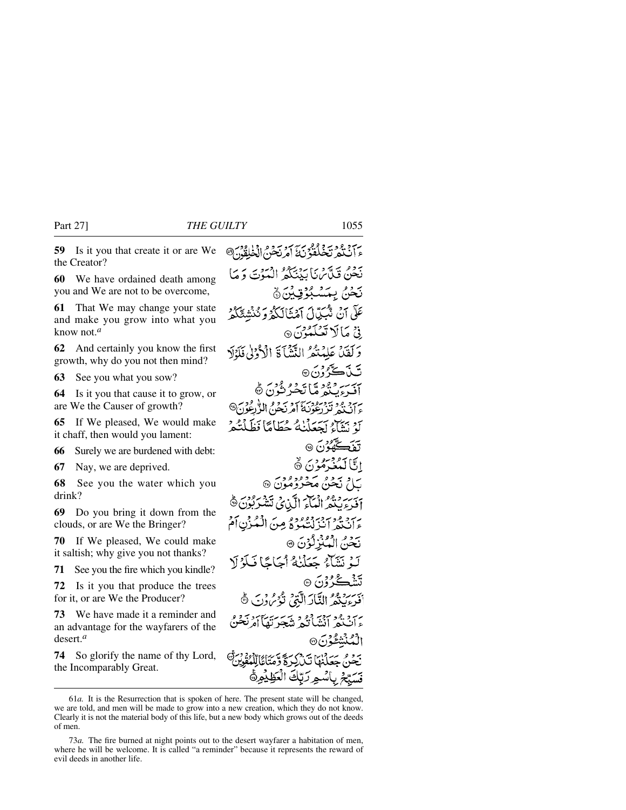Part 27] *THE GUILTY* 1055

**59** Is it you that create it or are We the Creator?

**60** We have ordained death among you and We are not to be overcome,

**61** That We may change your state and make you grow into what you know not.*<sup>a</sup>*

**62** And certainly you know the first growth, why do you not then mind?

**63** See you what you sow?

**64** Is it you that cause it to grow, or are We the Causer of growth?

**65** If We pleased, We would make it chaff, then would you lament:

**66** Surely we are burdened with debt:

**67** Nay, we are deprived.

**68** See you the water which you drink?

**69** Do you bring it down from the clouds, or are We the Bringer?

**70** If We pleased, We could make it saltish; why give you not thanks?

**71** See you the fire which you kindle?

**72** Is it you that produce the trees for it, or are We the Producer?

**73** We have made it a reminder and an advantage for the wayfarers of the desert.*<sup>a</sup>*

**74** So glorify the name of thy Lord, the Incomparably Great.

ءَ آٽَ دُو تَجْلُغُوْنَ ٓ آمُرِ نَجْنُ الْخَلِقُوْنَ® نَحْنُ قَبِّآَسْنَا بَدْنِيَكُمُ الْهَوْتَ دَ مَا نَحْنُ بِمَشْبُوُقِيْنَ﴾ عَلَّى آنَ تَنْكَبُّالَ آمَنْنَالَكُمْ وَ نُنْشَعَكُمْ نى مالا تېڭگون<sub>9</sub> وَلَقَنَّ عَلَيْتُمُ الثَّيْنَآ ۚ الْأَرْدَلُ فَلَدْلَا تَن<del>ۡ ڪُرُ</del>وُنَ ۞ بيه ديود ما تحير ٿُن ڻ سرد وديبوسودس ار سعوم الوقودس)<br>ء أن يم تنز دعونية أمر نجوم الوقودس كَ نَشَآءُ أَجْعَلْنَٰهُ حُطَاهًا نَظَلْتُه گھون ھ اتاكىنى مۇن ق بام نَحْنُ مَحْزُدُمُوْنَ ۞ برسية وقوم ديني الآن في <del>تن</del>فر بدون ها<br>اف ع**ين**جر ال**ي**اء الآن في تتشير بدون ها بِرَجْرِ فِيهِ دَيْنَ بِيَبْرُدُ مِن الْمُكْرِنِ أَمْ نَحْنُ الْمُبْزِلُوْنَ ® لَّهُ نَشَآءٌ جَعَلْنَٰهُ أَجَاجًا فَلَوْلَا تَشۡڪُرُ وۡنَ ۞ بِسِرِ مِعْ النَّاكَ الَّذِي نَوْمٍ وَنَ ﴾ برد وه در دو در سر بر<br>وان کو انشانگو ش<del>ه</del>رتقه نُنٹشُدُنَ® بحثى سكانها تذرك فوت أكاللكفة ، بِاسْمِ رَبّكَ الْكَظِيْمِيُّ

<sup>61</sup>*a.* It is the Resurrection that is spoken of here. The present state will be changed, we are told, and men will be made to grow into a new creation, which they do not know. Clearly it is not the material body of this life, but a new body which grows out of the deeds of men.

<sup>73</sup>*a.* The fire burned at night points out to the desert wayfarer a habitation of men, where he will be welcome. It is called "a reminder" because it represents the reward of evil deeds in another life.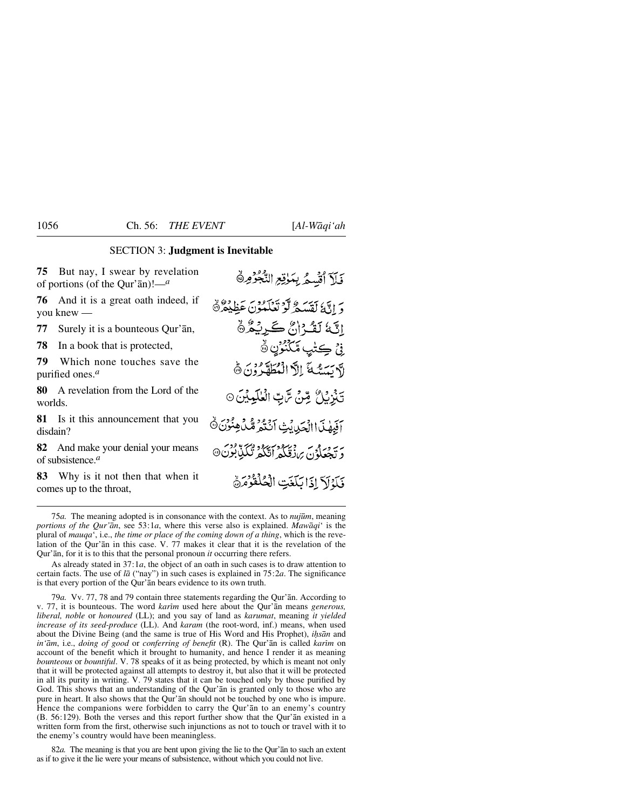### SECTION 3: **Judgment is Inevitable**

**75** But nay, I swear by revelation of portions (of the Qur'ån)!—*<sup>a</sup>*

**76** And it is a great oath indeed, if you knew —

**77** Surely it is a bounteous Qur'ån,

**78** In a book that is protected,

**79** Which none touches save the purified ones.*<sup>a</sup>*

**80** A revelation from the Lord of the worlds.

**81** Is it this announcement that you disdain?

**82** And make your denial your means of subsistence.*<sup>a</sup>*

**83** Why is it not then that when it comes up to the throat,

قَلَا أَقْسِعُ بِمَوْقِعِ النَّجْزُورِ دَ إِذَا كَقَسَيْمٌ لَوْ تَعَلَّمُونَ عَظِيْمٌ ﴾ إِنَّهٗ لَقُـرُانٌ كَـرِيْكُرُّ نِيۡ ڪِتٰبِ مَّكۡنُوۡنِ ۞ لآسَسَةَ الْأَالْمُطَهَّرُونَ ١٥ تَنْزِيْلُ مِّنْ تَرَبِّ الْعٰلَيْدِيْنَ۞ اَفِيهَا االْحَدِيثِ اَنْتُمْ مُّدْفِنُوشُنَّ دَيْبِعَلْدُنَ بِرِزْقِنَكُمْ أَتَّكُمْ تُكَلِّدٌ بُوْنَ® فَكَذَلَكَ إِذَا بَكَّعَتِ الْحُلُّقُوْمَرَةَ

As already stated in 37:1*a*, the object of an oath in such cases is to draw attention to certain facts. The use of *lå* ("nay") in such cases is explained in 75:2*a*. The significance is that every portion of the Qur'ån bears evidence to its own truth.

79*a.* Vv. 77, 78 and 79 contain three statements regarding the Qur'ån. According to v. 77, it is bounteous. The word *karim* used here about the Qur'an means *generous*, *liberal, noble* or *honoured* (LL); and you say of land as *karumat*, meaning *it yielded increase of its seed-produce* (LL). And *karam* (the root-word, inf.) means, when used about the Divine Being (and the same is true of His Word and His Prophet), *i√sån* and *in'ām*, i.e., *doing of good* or *conferring of benefit* (R). The Qur'ān is called *karim* on account of the benefit which it brought to humanity, and hence I render it as meaning *bounteous* or *bountiful*. V. 78 speaks of it as being protected, by which is meant not only that it will be protected against all attempts to destroy it, but also that it will be protected in all its purity in writing. V. 79 states that it can be touched only by those purified by God. This shows that an understanding of the Qur'ån is granted only to those who are pure in heart. It also shows that the Qur'ån should not be touched by one who is impure. Hence the companions were forbidden to carry the Qur'ån to an enemy's country (B. 56:129). Both the verses and this report further show that the Qur'ån existed in a written form from the first, otherwise such injunctions as not to touch or travel with it to the enemy's country would have been meaningless.

82*a.* The meaning is that you are bent upon giving the lie to the Qur'ån to such an extent as if to give it the lie were your means of subsistence, without which you could not live.

<sup>75</sup>*a.* The meaning adopted is in consonance with the context. As to *nuj∂m*, meaning *portions of the Qur'ån*, see 53:1*a*, where this verse also is explained. *Mawåqi*' is the plural of *mauqa*', i.e., *the time or place of the coming down of a thing*, which is the revelation of the Qur'ån in this case. V. 77 makes it clear that it is the revelation of the Qur'ån, for it is to this that the personal pronoun *it* occurring there refers.